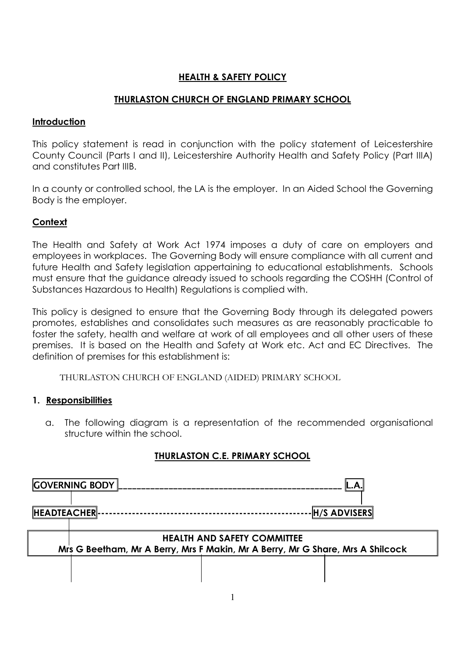# **HEALTH & SAFETY POLICY**

## **THURLASTON CHURCH OF ENGLAND PRIMARY SCHOOL**

#### **Introduction**

This policy statement is read in conjunction with the policy statement of Leicestershire County Council (Parts I and II), Leicestershire Authority Health and Safety Policy (Part IIIA) and constitutes Part IIIB.

In a county or controlled school, the LA is the employer. In an Aided School the Governing Body is the employer.

## **Context**

The Health and Safety at Work Act 1974 imposes a duty of care on employers and employees in workplaces. The Governing Body will ensure compliance with all current and future Health and Safety legislation appertaining to educational establishments. Schools must ensure that the guidance already issued to schools regarding the COSHH (Control of Substances Hazardous to Health) Regulations is complied with.

This policy is designed to ensure that the Governing Body through its delegated powers promotes, establishes and consolidates such measures as are reasonably practicable to foster the safety, health and welfare at work of all employees and all other users of these premises. It is based on the Health and Safety at Work etc. Act and EC Directives. The definition of premises for this establishment is:

THURLASTON CHURCH OF ENGLAND (AIDED) PRIMARY SCHOOL

## **1. Responsibilities**

a. The following diagram is a representation of the recommended organisational structure within the school.

# **THURLASTON C.E. PRIMARY SCHOOL**

|                                                                                | <b>COVERNING BODY</b>              |  |                 |  |
|--------------------------------------------------------------------------------|------------------------------------|--|-----------------|--|
| <b>HEADTEACHER-</b>                                                            |                                    |  | ⋅∥H/S ADVISERS∥ |  |
|                                                                                | <b>HEALTH AND SAFETY COMMITTEE</b> |  |                 |  |
| Mrs G Beetham, Mr A Berry, Mrs F Makin, Mr A Berry, Mr G Share, Mrs A Shilcock |                                    |  |                 |  |
|                                                                                |                                    |  |                 |  |
|                                                                                |                                    |  |                 |  |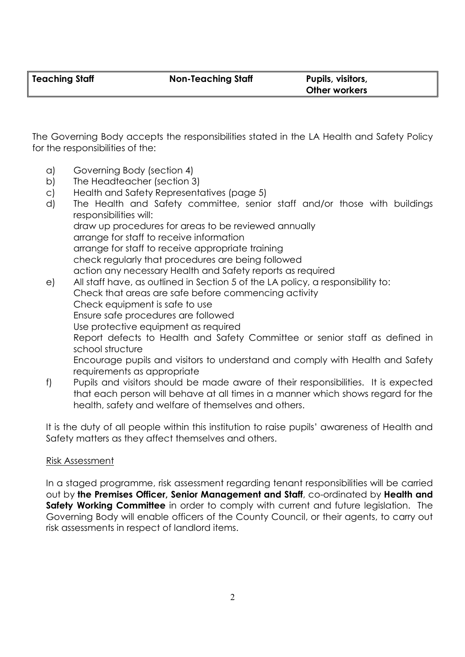The Governing Body accepts the responsibilities stated in the LA Health and Safety Policy for the responsibilities of the:

- a) Governing Body (section 4)
- b) The Headteacher (section 3)
- c) Health and Safety Representatives (page 5)
- d) The Health and Safety committee, senior staff and/or those with buildings responsibilities will: draw up procedures for areas to be reviewed annually arrange for staff to receive information arrange for staff to receive appropriate training check regularly that procedures are being followed action any necessary Health and Safety reports as required e) All staff have, as outlined in Section 5 of the LA policy, a responsibility to: Check that areas are safe before commencing activity
- Check equipment is safe to use Ensure safe procedures are followed Use protective equipment as required Report defects to Health and Safety Committee or senior staff as defined in school structure Encourage pupils and visitors to understand and comply with Health and Safety requirements as appropriate
- f) Pupils and visitors should be made aware of their responsibilities. It is expected that each person will behave at all times in a manner which shows regard for the health, safety and welfare of themselves and others.

It is the duty of all people within this institution to raise pupils' awareness of Health and Safety matters as they affect themselves and others.

# Risk Assessment

In a staged programme, risk assessment regarding tenant responsibilities will be carried out by **the Premises Officer, Senior Management and Staff**, co-ordinated by **Health and Safety Working Committee** in order to comply with current and future legislation. The Governing Body will enable officers of the County Council, or their agents, to carry out risk assessments in respect of landlord items.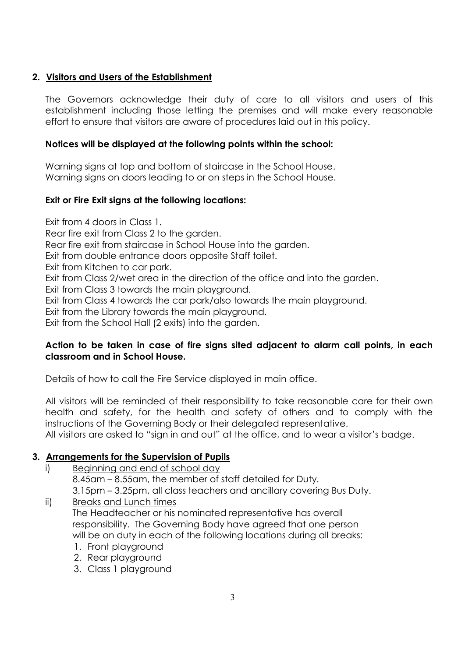# **2. Visitors and Users of the Establishment**

The Governors acknowledge their duty of care to all visitors and users of this establishment including those letting the premises and will make every reasonable effort to ensure that visitors are aware of procedures laid out in this policy.

## **Notices will be displayed at the following points within the school:**

Warning signs at top and bottom of staircase in the School House. Warning signs on doors leading to or on steps in the School House.

# **Exit or Fire Exit signs at the following locations:**

Exit from 4 doors in Class 1.

Rear fire exit from Class 2 to the garden.

Rear fire exit from staircase in School House into the garden.

Exit from double entrance doors opposite Staff toilet.

Exit from Kitchen to car park.

Exit from Class 2/wet area in the direction of the office and into the garden.

Exit from Class 3 towards the main playground.

Exit from Class 4 towards the car park/also towards the main playground.

Exit from the Library towards the main playground.

Exit from the School Hall (2 exits) into the garden.

# **Action to be taken in case of fire signs sited adjacent to alarm call points, in each classroom and in School House.**

Details of how to call the Fire Service displayed in main office.

All visitors will be reminded of their responsibility to take reasonable care for their own health and safety, for the health and safety of others and to comply with the instructions of the Governing Body or their delegated representative.

All visitors are asked to "sign in and out" at the office, and to wear a visitor's badge.

## **3. Arrangements for the Supervision of Pupils**

i) Beginning and end of school day

8.45am – 8.55am, the member of staff detailed for Duty.

3.15pm – 3.25pm, all class teachers and ancillary covering Bus Duty.

- ii) Breaks and Lunch times The Headteacher or his nominated representative has overall responsibility. The Governing Body have agreed that one person will be on duty in each of the following locations during all breaks:
	- 1. Front playground
	- 2. Rear playground
	- 3. Class 1 playground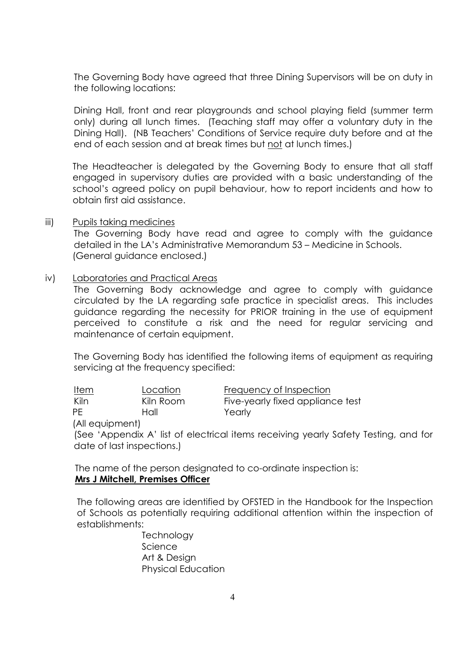The Governing Body have agreed that three Dining Supervisors will be on duty in the following locations:

Dining Hall, front and rear playgrounds and school playing field (summer term only) during all lunch times. (Teaching staff may offer a voluntary duty in the Dining Hall). (NB Teachers' Conditions of Service require duty before and at the end of each session and at break times but not at lunch times.)

The Headteacher is delegated by the Governing Body to ensure that all staff engaged in supervisory duties are provided with a basic understanding of the school's agreed policy on pupil behaviour, how to report incidents and how to obtain first aid assistance.

iii) Pupils taking medicines

The Governing Body have read and agree to comply with the guidance detailed in the LA's Administrative Memorandum 53 – Medicine in Schools. (General guidance enclosed.)

#### iv) Laboratories and Practical Areas

The Governing Body acknowledge and agree to comply with guidance circulated by the LA regarding safe practice in specialist areas. This includes guidance regarding the necessity for PRIOR training in the use of equipment perceived to constitute a risk and the need for regular servicing and maintenance of certain equipment.

The Governing Body has identified the following items of equipment as requiring servicing at the frequency specified:

| Item | Location  | Frequency of Inspection          |
|------|-----------|----------------------------------|
| Kiln | Kiln Room | Five-yearly fixed appliance test |
| PF.  | Hall      | Yearly                           |
|      |           |                                  |

(All equipment)

(See 'Appendix A' list of electrical items receiving yearly Safety Testing, and for date of last inspections.)

 The name of the person designated to co-ordinate inspection is: **Mrs J Mitchell, Premises Officer** 

The following areas are identified by OFSTED in the Handbook for the Inspection of Schools as potentially requiring additional attention within the inspection of establishments:

> **Technology Science**  Art & Design Physical Education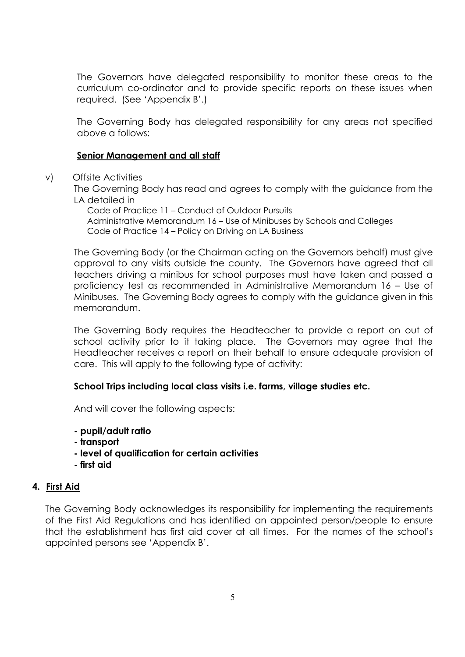The Governors have delegated responsibility to monitor these areas to the curriculum co-ordinator and to provide specific reports on these issues when required. (See 'Appendix B'.)

The Governing Body has delegated responsibility for any areas not specified above a follows:

#### **Senior Management and all staff**

#### v) Offsite Activities

The Governing Body has read and agrees to comply with the guidance from the LA detailed in

 Code of Practice 11 – Conduct of Outdoor Pursuits Administrative Memorandum 16 – Use of Minibuses by Schools and Colleges Code of Practice 14 – Policy on Driving on LA Business

The Governing Body (or the Chairman acting on the Governors behalf) must give approval to any visits outside the county. The Governors have agreed that all teachers driving a minibus for school purposes must have taken and passed a proficiency test as recommended in Administrative Memorandum 16 – Use of Minibuses. The Governing Body agrees to comply with the guidance given in this memorandum.

The Governing Body requires the Headteacher to provide a report on out of school activity prior to it taking place. The Governors may agree that the Headteacher receives a report on their behalf to ensure adequate provision of care. This will apply to the following type of activity:

#### **School Trips including local class visits i.e. farms, village studies etc.**

And will cover the following aspects:

- **pupil/adult ratio**
- **transport**
- **level of qualification for certain activities**
- **first aid**

#### **4. First Aid**

The Governing Body acknowledges its responsibility for implementing the requirements of the First Aid Regulations and has identified an appointed person/people to ensure that the establishment has first aid cover at all times. For the names of the school's appointed persons see 'Appendix B'.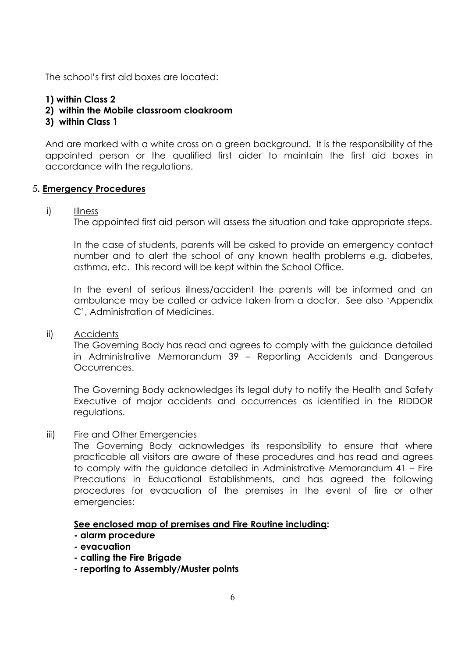The school's first aid boxes are located:

#### **1) within Class 2**

- **2) within the Mobile classroom cloakroom**
- **3) within Class 1**

And are marked with a white cross on a green background. It is the responsibility of the appointed person or the qualified first aider to maintain the first aid boxes in accordance with the regulations.

#### 5**. Emergency Procedures**

#### i) Illness

The appointed first aid person will assess the situation and take appropriate steps.

In the case of students, parents will be asked to provide an emergency contact number and to alert the school of any known health problems e.g. diabetes, asthma, etc. This record will be kept within the School Office.

In the event of serious illness/accident the parents will be informed and an ambulance may be called or advice taken from a doctor. See also 'Appendix C', Administration of Medicines.

ii) Accidents

The Governing Body has read and agrees to comply with the guidance detailed in Administrative Memorandum 39 – Reporting Accidents and Dangerous Occurrences.

The Governing Body acknowledges its legal duty to notify the Health and Safety Executive of major accidents and occurrences as identified in the RIDDOR regulations.

iii) Fire and Other Emergencies

The Governing Body acknowledges its responsibility to ensure that where practicable all visitors are aware of these procedures and has read and agrees to comply with the guidance detailed in Administrative Memorandum 41 – Fire Precautions in Educational Establishments, and has agreed the following procedures for evacuation of the premises in the event of fire or other emergencies:

#### **See enclosed map of premises and Fire Routine including:**

- **alarm procedure**
- **evacuation**
- **calling the Fire Brigade**
- **reporting to Assembly/Muster points**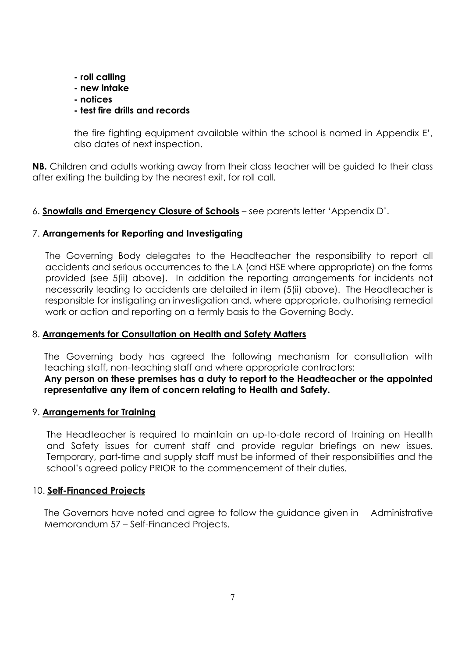- **roll calling**
- **new intake**
- **notices**

# **- test fire drills and records**

the fire fighting equipment available within the school is named in Appendix E', also dates of next inspection.

**NB.** Children and adults working away from their class teacher will be guided to their class after exiting the building by the nearest exit, for roll call.

# 6. **Snowfalls and Emergency Closure of Schools** – see parents letter 'Appendix D'.

# 7. **Arrangements for Reporting and Investigating**

The Governing Body delegates to the Headteacher the responsibility to report all accidents and serious occurrences to the LA (and HSE where appropriate) on the forms provided (see 5(ii) above). In addition the reporting arrangements for incidents not necessarily leading to accidents are detailed in item (5(ii) above). The Headteacher is responsible for instigating an investigation and, where appropriate, authorising remedial work or action and reporting on a termly basis to the Governing Body.

## 8. **Arrangements for Consultation on Health and Safety Matters**

The Governing body has agreed the following mechanism for consultation with teaching staff, non-teaching staff and where appropriate contractors:

**Any person on these premises has a duty to report to the Headteacher or the appointed representative any item of concern relating to Health and Safety.** 

## 9. **Arrangements for Training**

The Headteacher is required to maintain an up-to-date record of training on Health and Safety issues for current staff and provide regular briefings on new issues. Temporary, part-time and supply staff must be informed of their responsibilities and the school's agreed policy PRIOR to the commencement of their duties.

## 10. **Self-Financed Projects**

The Governors have noted and agree to follow the guidance given in Administrative Memorandum 57 – Self-Financed Projects.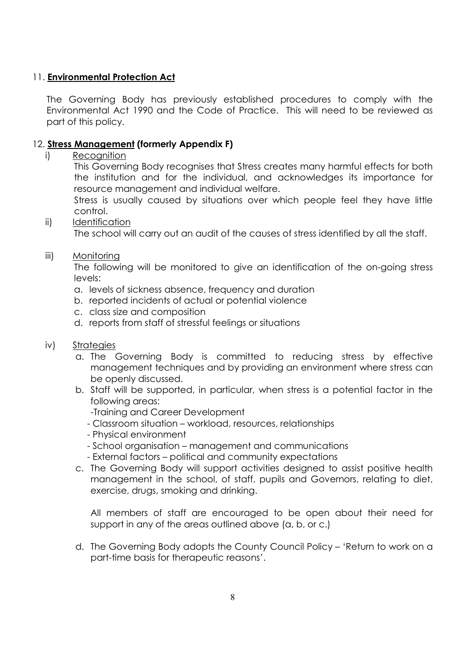# 11. **Environmental Protection Act**

The Governing Body has previously established procedures to comply with the Environmental Act 1990 and the Code of Practice. This will need to be reviewed as part of this policy.

# 12. **Stress Management (formerly Appendix F)**

i) Recognition

This Governing Body recognises that Stress creates many harmful effects for both the institution and for the individual, and acknowledges its importance for resource management and individual welfare.

Stress is usually caused by situations over which people feel they have little control.

ii) Identification

The school will carry out an audit of the causes of stress identified by all the staff.

#### iii) Monitoring

The following will be monitored to give an identification of the on-going stress levels:

- a. levels of sickness absence, frequency and duration
- b. reported incidents of actual or potential violence
- c. class size and composition
- d. reports from staff of stressful feelings or situations

## iv) Strategies

- a. The Governing Body is committed to reducing stress by effective management techniques and by providing an environment where stress can be openly discussed.
- b. Staff will be supported, in particular, when stress is a potential factor in the following areas:
	- -Training and Career Development
	- Classroom situation workload, resources, relationships
	- Physical environment
	- School organisation management and communications
	- External factors political and community expectations
- c. The Governing Body will support activities designed to assist positive health management in the school, of staff, pupils and Governors, relating to diet, exercise, drugs, smoking and drinking.

All members of staff are encouraged to be open about their need for support in any of the areas outlined above (a, b, or c.)

d. The Governing Body adopts the County Council Policy – 'Return to work on a part-time basis for therapeutic reasons'.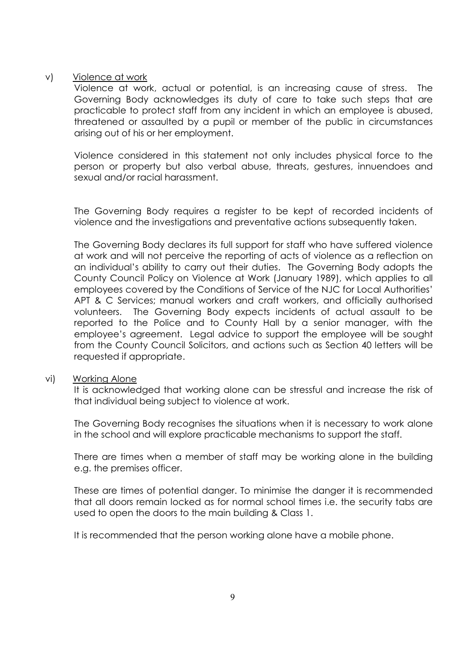#### v) Violence at work

Violence at work, actual or potential, is an increasing cause of stress. The Governing Body acknowledges its duty of care to take such steps that are practicable to protect staff from any incident in which an employee is abused, threatened or assaulted by a pupil or member of the public in circumstances arising out of his or her employment.

Violence considered in this statement not only includes physical force to the person or property but also verbal abuse, threats, gestures, innuendoes and sexual and/or racial harassment.

The Governing Body requires a register to be kept of recorded incidents of violence and the investigations and preventative actions subsequently taken.

The Governing Body declares its full support for staff who have suffered violence at work and will not perceive the reporting of acts of violence as a reflection on an individual's ability to carry out their duties. The Governing Body adopts the County Council Policy on Violence at Work (January 1989), which applies to all employees covered by the Conditions of Service of the NJC for Local Authorities' APT & C Services; manual workers and craft workers, and officially authorised volunteers. The Governing Body expects incidents of actual assault to be reported to the Police and to County Hall by a senior manager, with the employee's agreement. Legal advice to support the employee will be sought from the County Council Solicitors, and actions such as Section 40 letters will be requested if appropriate.

#### vi) Working Alone

It is acknowledged that working alone can be stressful and increase the risk of that individual being subject to violence at work.

The Governing Body recognises the situations when it is necessary to work alone in the school and will explore practicable mechanisms to support the staff.

There are times when a member of staff may be working alone in the building e.g. the premises officer.

These are times of potential danger. To minimise the danger it is recommended that all doors remain locked as for normal school times i.e. the security tabs are used to open the doors to the main building & Class 1.

It is recommended that the person working alone have a mobile phone.